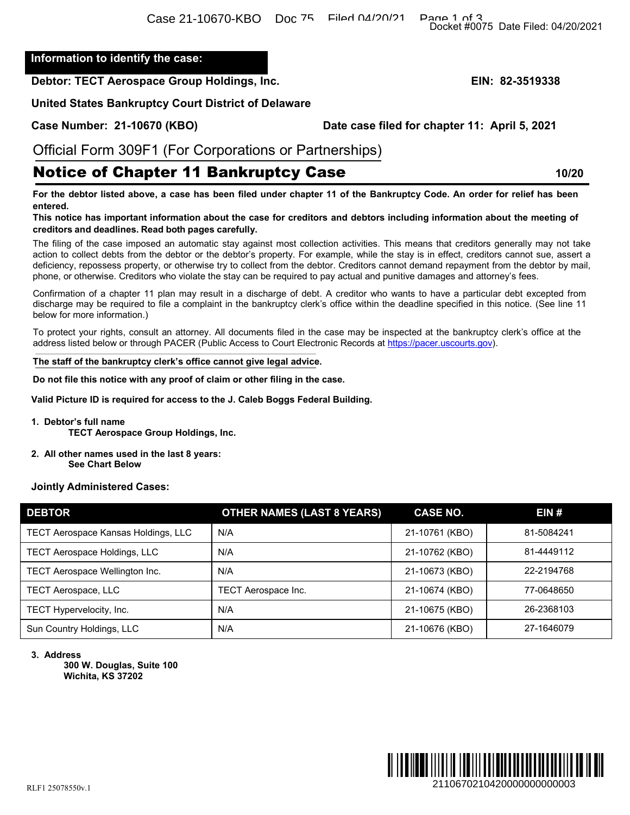# Notice of Chapter 11 Bankruptcy Case **10/20**

## **Jointly Administered Cases:**

|                                                                                                                                                                                                                                                                                                                                                                                                                                                                                                                                                               |                                   |                                               | Docket #0075 Date Filed: 04/20/2021 |
|---------------------------------------------------------------------------------------------------------------------------------------------------------------------------------------------------------------------------------------------------------------------------------------------------------------------------------------------------------------------------------------------------------------------------------------------------------------------------------------------------------------------------------------------------------------|-----------------------------------|-----------------------------------------------|-------------------------------------|
| Information to identify the case:                                                                                                                                                                                                                                                                                                                                                                                                                                                                                                                             |                                   |                                               |                                     |
| Debtor: TECT Aerospace Group Holdings, Inc.                                                                                                                                                                                                                                                                                                                                                                                                                                                                                                                   |                                   |                                               | EIN: 82-3519338                     |
| <b>United States Bankruptcy Court District of Delaware</b>                                                                                                                                                                                                                                                                                                                                                                                                                                                                                                    |                                   |                                               |                                     |
| Case Number: 21-10670 (KBO)                                                                                                                                                                                                                                                                                                                                                                                                                                                                                                                                   |                                   | Date case filed for chapter 11: April 5, 2021 |                                     |
|                                                                                                                                                                                                                                                                                                                                                                                                                                                                                                                                                               |                                   |                                               |                                     |
| Official Form 309F1 (For Corporations or Partnerships)                                                                                                                                                                                                                                                                                                                                                                                                                                                                                                        |                                   |                                               |                                     |
| <b>Notice of Chapter 11 Bankruptcy Case</b>                                                                                                                                                                                                                                                                                                                                                                                                                                                                                                                   |                                   |                                               | 10/20                               |
| For the debtor listed above, a case has been filed under chapter 11 of the Bankruptcy Code. An order for relief has been<br>entered.<br>This notice has important information about the case for creditors and debtors including information about the meeting of<br>creditors and deadlines. Read both pages carefully.                                                                                                                                                                                                                                      |                                   |                                               |                                     |
| The filing of the case imposed an automatic stay against most collection activities. This means that creditors generally may not take<br>action to collect debts from the debtor or the debtor's property. For example, while the stay is in effect, creditors cannot sue, assert a<br>deficiency, repossess property, or otherwise try to collect from the debtor. Creditors cannot demand repayment from the debtor by mail,<br>phone, or otherwise. Creditors who violate the stay can be required to pay actual and punitive damages and attorney's fees. |                                   |                                               |                                     |
| Confirmation of a chapter 11 plan may result in a discharge of debt. A creditor who wants to have a particular debt excepted from<br>discharge may be required to file a complaint in the bankruptcy clerk's office within the deadline specified in this notice. (See line 11<br>below for more information.)                                                                                                                                                                                                                                                |                                   |                                               |                                     |
| To protect your rights, consult an attorney. All documents filed in the case may be inspected at the bankruptcy clerk's office at the<br>address listed below or through PACER (Public Access to Court Electronic Records at https://pacer.uscourts.gov).                                                                                                                                                                                                                                                                                                     |                                   |                                               |                                     |
| The staff of the bankruptcy clerk's office cannot give legal advice.                                                                                                                                                                                                                                                                                                                                                                                                                                                                                          |                                   |                                               |                                     |
| Do not file this notice with any proof of claim or other filing in the case.                                                                                                                                                                                                                                                                                                                                                                                                                                                                                  |                                   |                                               |                                     |
| Valid Picture ID is required for access to the J. Caleb Boggs Federal Building.                                                                                                                                                                                                                                                                                                                                                                                                                                                                               |                                   |                                               |                                     |
| 1. Debtor's full name<br><b>TECT Aerospace Group Holdings, Inc.</b>                                                                                                                                                                                                                                                                                                                                                                                                                                                                                           |                                   |                                               |                                     |
| 2. All other names used in the last 8 years:<br><b>See Chart Below</b>                                                                                                                                                                                                                                                                                                                                                                                                                                                                                        |                                   |                                               |                                     |
| <b>Jointly Administered Cases:</b>                                                                                                                                                                                                                                                                                                                                                                                                                                                                                                                            |                                   |                                               |                                     |
| <b>DEBTOR</b>                                                                                                                                                                                                                                                                                                                                                                                                                                                                                                                                                 | <b>OTHER NAMES (LAST 8 YEARS)</b> | <b>CASE NO.</b>                               | EIN#                                |
| TECT Aerospace Kansas Holdings, LLC                                                                                                                                                                                                                                                                                                                                                                                                                                                                                                                           | N/A                               | 21-10761 (KBO)                                | 81-5084241                          |
| TECT Aerospace Holdings, LLC                                                                                                                                                                                                                                                                                                                                                                                                                                                                                                                                  | N/A                               | 21-10762 (KBO)                                | 81-4449112                          |
| TECT Aerospace Wellington Inc.                                                                                                                                                                                                                                                                                                                                                                                                                                                                                                                                | N/A                               | 21-10673 (KBO)                                | 22-2194768                          |
| <b>TECT Aerospace, LLC</b>                                                                                                                                                                                                                                                                                                                                                                                                                                                                                                                                    | TECT Aerospace Inc.               | 21-10674 (KBO)                                | 77-0648650                          |
| TECT Hypervelocity, Inc.                                                                                                                                                                                                                                                                                                                                                                                                                                                                                                                                      | N/A                               | 21-10675 (KBO)                                | 26-2368103                          |
| Sun Country Holdings, LLC                                                                                                                                                                                                                                                                                                                                                                                                                                                                                                                                     | N/A                               | 21-10676 (KBO)                                | 27-1646079                          |
| 3. Address<br>300 W. Douglas, Suite 100<br>Wichita, KS 37202                                                                                                                                                                                                                                                                                                                                                                                                                                                                                                  |                                   |                                               |                                     |
|                                                                                                                                                                                                                                                                                                                                                                                                                                                                                                                                                               |                                   |                                               |                                     |
|                                                                                                                                                                                                                                                                                                                                                                                                                                                                                                                                                               |                                   |                                               |                                     |
| RI E1 25078550v 1                                                                                                                                                                                                                                                                                                                                                                                                                                                                                                                                             |                                   |                                               | 2110670210420000000000003           |

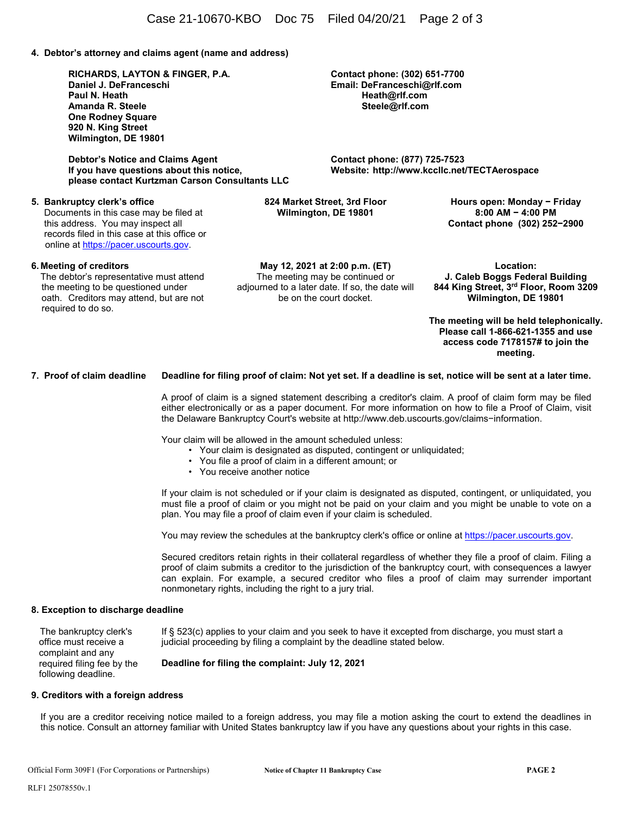**4. Debtor's attorney and claims agent (name and address)** 

**RICHARDS, LAYTON & FINGER, P.A. Daniel J. DeFranceschi Paul N. Heath Amanda R. Steele One Rodney Square 920 N. King Street Wilmington, DE 19801** 

 **Debtor's Notice and Claims Agent If you have questions about this notice, please contact Kurtzman Carson Consultants LLC** 

## **5. Bankruptcy clerk's office**

 Documents in this case may be filed at this address. You may inspect all records filed in this case at this office or online at https://pacer.uscourts.gov.

## **6. Meeting of creditors**

The debtor's representative must attend the meeting to be questioned under oath. Creditors may attend, but are not required to do so.

**May 12, 2021 at 2:00 p.m. (ET)** The meeting may be continued or adjourned to a later date. If so, the date will be on the court docket.

**Location: J. Caleb Boggs Federal Building 844 King Street, 3rd Floor, Room 3209 Wilmington, DE 19801** 

**The meeting will be held telephonically. Please call 1-866-621-1355 and use access code 7178157# to join the meeting.** 

**7. Proof of claim deadline Deadline for filing proof of claim: Not yet set. If a deadline is set, notice will be sent at a later time.** 

A proof of claim is a signed statement describing a creditor's claim. A proof of claim form may be filed either electronically or as a paper document. For more information on how to file a Proof of Claim, visit the Delaware Bankruptcy Court's website at http://www.deb.uscourts.gov/claims−information.

Your claim will be allowed in the amount scheduled unless:

- Your claim is designated as disputed, contingent or unliquidated;
- You file a proof of claim in a different amount; or
- You receive another notice

If your claim is not scheduled or if your claim is designated as disputed, contingent, or unliquidated, you must file a proof of claim or you might not be paid on your claim and you might be unable to vote on a plan. You may file a proof of claim even if your claim is scheduled.

You may review the schedules at the bankruptcy clerk's office or online at https://pacer.uscourts.gov.

Secured creditors retain rights in their collateral regardless of whether they file a proof of claim. Filing a proof of claim submits a creditor to the jurisdiction of the bankruptcy court, with consequences a lawyer can explain. For example, a secured creditor who files a proof of claim may surrender important nonmonetary rights, including the right to a jury trial.

## **8. Exception to discharge deadline**

 The bankruptcy clerk's office must receive a complaint and any required filing fee by the following deadline. If § 523(c) applies to your claim and you seek to have it excepted from discharge, you must start a judicial proceeding by filing a complaint by the deadline stated below. **Deadline for filing the complaint: July 12, 2021** 

#### **9. Creditors with a foreign address**

 If you are a creditor receiving notice mailed to a foreign address, you may file a motion asking the court to extend the deadlines in this notice. Consult an attorney familiar with United States bankruptcy law if you have any questions about your rights in this case.

**Contact phone: (302) 651-7700 Email: DeFranceschi@rlf.com Heath@rlf.com Steele@rlf.com** 

**Contact phone: (877) 725-7523 Website: http://www.kccllc.net/TECTAerospace**

**824 Market Street, 3rd Floor Wilmington, DE 19801** 

**Hours open: Monday − Friday 8:00 AM − 4:00 PM Contact phone (302) 252−2900**